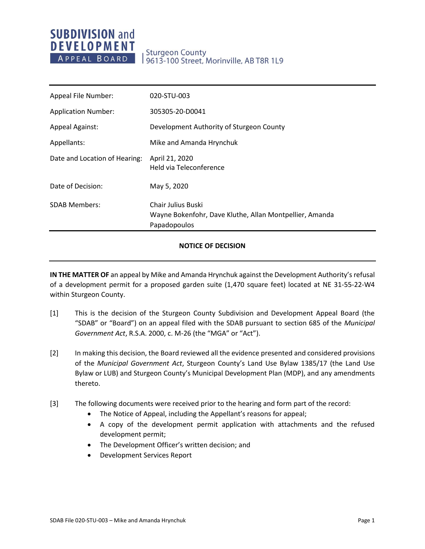# **Sturgeon County** 9613-100 Street, Morinville, AB T8R 1L9

| Appeal File Number:           | 020-STU-003                                                                                   |
|-------------------------------|-----------------------------------------------------------------------------------------------|
| <b>Application Number:</b>    | 305305-20-D0041                                                                               |
| <b>Appeal Against:</b>        | Development Authority of Sturgeon County                                                      |
| Appellants:                   | Mike and Amanda Hrynchuk                                                                      |
| Date and Location of Hearing: | April 21, 2020<br>Held via Teleconference                                                     |
| Date of Decision:             | May 5, 2020                                                                                   |
| <b>SDAB Members:</b>          | Chair Julius Buski<br>Wayne Bokenfohr, Dave Kluthe, Allan Montpellier, Amanda<br>Papadopoulos |

# **NOTICE OF DECISION**

**IN THE MATTER OF** an appeal by Mike and Amanda Hrynchuk against the Development Authority's refusal of a development permit for a proposed garden suite (1,470 square feet) located at NE 31-55-22-W4 within Sturgeon County.

- [1] This is the decision of the Sturgeon County Subdivision and Development Appeal Board (the "SDAB" or "Board") on an appeal filed with the SDAB pursuant to section 685 of the *Municipal Government Act*, R.S.A. 2000, c. M-26 (the "MGA" or "Act").
- [2] In making this decision, the Board reviewed all the evidence presented and considered provisions of the *Municipal Government Act*, Sturgeon County's Land Use Bylaw 1385/17 (the Land Use Bylaw or LUB) and Sturgeon County's Municipal Development Plan (MDP), and any amendments thereto.
- [3] The following documents were received prior to the hearing and form part of the record:
	- The Notice of Appeal, including the Appellant's reasons for appeal;
	- A copy of the development permit application with attachments and the refused development permit;
	- The Development Officer's written decision; and
	- Development Services Report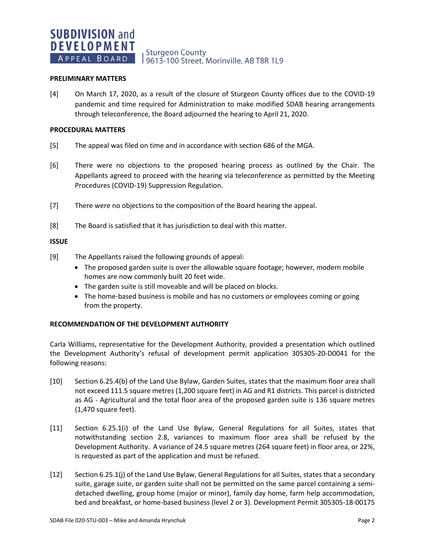# **Sturgeon County** 9613-100 Street, Morinville, AB T8R 1L9

### **PRELIMINARY MATTERS**

[4] On March 17, 2020, as a result of the closure of Sturgeon County offices due to the COVID-19 pandemic and time required for Administration to make modified SDAB hearing arrangements through teleconference, the Board adjourned the hearing to April 21, 2020.

### **PROCEDURAL MATTERS**

- [5] The appeal was filed on time and in accordance with section 686 of the MGA.
- [6] There were no objections to the proposed hearing process as outlined by the Chair. The Appellants agreed to proceed with the hearing via teleconference as permitted by the Meeting Procedures (COVID-19) Suppression Regulation.
- [7] There were no objections to the composition of the Board hearing the appeal.
- [8] The Board is satisfied that it has jurisdiction to deal with this matter.

### **ISSUE**

- [9] The Appellants raised the following grounds of appeal:
	- The proposed garden suite is over the allowable square footage; however, modern mobile homes are now commonly built 20 feet wide.
	- The garden suite is still moveable and will be placed on blocks.
	- The home-based business is mobile and has no customers or employees coming or going from the property.

### **RECOMMENDATION OF THE DEVELOPMENT AUTHORITY**

Carla Williams, representative for the Development Authority, provided a presentation which outlined the Development Authority's refusal of development permit application 305305-20-D0041 for the following reasons:

- [10] Section 6.25.4(b) of the Land Use Bylaw, Garden Suites, states that the maximum floor area shall not exceed 111.5 square metres (1,200 square feet) in AG and R1 districts. This parcel is districted as AG - Agricultural and the total floor area of the proposed garden suite is 136 square metres (1,470 square feet).
- [11] Section 6.25.1(i) of the Land Use Bylaw, General Regulations for all Suites, states that notwithstanding section 2.8, variances to maximum floor area shall be refused by the Development Authority. A variance of 24.5 square metres (264 square feet) in floor area, or 22%, is requested as part of the application and must be refused.
- [12] Section 6.25.1(j) of the Land Use Bylaw, General Regulations for all Suites, states that a secondary suite, garage suite, or garden suite shall not be permitted on the same parcel containing a semidetached dwelling, group home (major or minor), family day home, farm help accommodation, bed and breakfast, or home-based business (level 2 or 3). Development Permit 305305-18-00175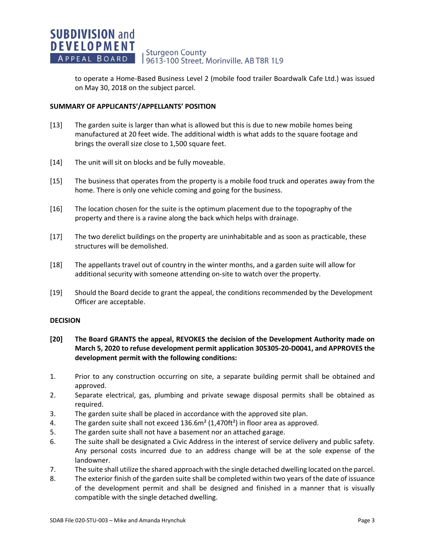to operate a Home-Based Business Level 2 (mobile food trailer Boardwalk Cafe Ltd.) was issued on May 30, 2018 on the subject parcel.

# **SUMMARY OF APPLICANTS'/APPELLANTS' POSITION**

- [13] The garden suite is larger than what is allowed but this is due to new mobile homes being manufactured at 20 feet wide. The additional width is what adds to the square footage and brings the overall size close to 1,500 square feet.
- [14] The unit will sit on blocks and be fully moveable.
- [15] The business that operates from the property is a mobile food truck and operates away from the home. There is only one vehicle coming and going for the business.
- [16] The location chosen for the suite is the optimum placement due to the topography of the property and there is a ravine along the back which helps with drainage.
- [17] The two derelict buildings on the property are uninhabitable and as soon as practicable, these structures will be demolished.
- [18] The appellants travel out of country in the winter months, and a garden suite will allow for additional security with someone attending on-site to watch over the property.
- [19] Should the Board decide to grant the appeal, the conditions recommended by the Development Officer are acceptable.

# **DECISION**

- **[20] The Board GRANTS the appeal, REVOKES the decision of the Development Authority made on March 5, 2020 to refuse development permit application 305305-20-D0041, and APPROVES the development permit with the following conditions:**
- 1. Prior to any construction occurring on site, a separate building permit shall be obtained and approved.
- 2. Separate electrical, gas, plumbing and private sewage disposal permits shall be obtained as required.
- 3. The garden suite shall be placed in accordance with the approved site plan.
- 4. The garden suite shall not exceed  $136.6m<sup>2</sup> (1.470ft<sup>2</sup>)$  in floor area as approved.
- 5. The garden suite shall not have a basement nor an attached garage.
- 6. The suite shall be designated a Civic Address in the interest of service delivery and public safety. Any personal costs incurred due to an address change will be at the sole expense of the landowner.
- 7. The suite shall utilize the shared approach with the single detached dwelling located on the parcel.
- 8. The exterior finish of the garden suite shall be completed within two years of the date of issuance of the development permit and shall be designed and finished in a manner that is visually compatible with the single detached dwelling.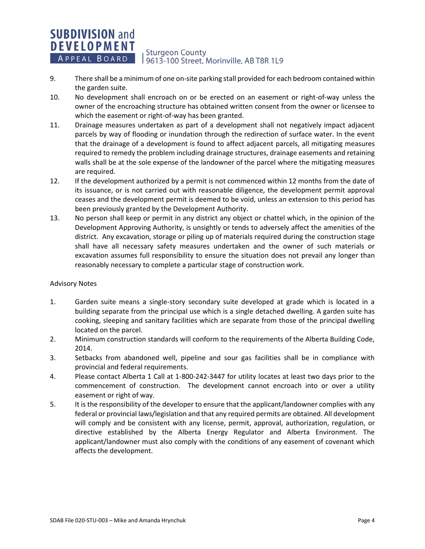- 9. There shall be a minimum of one on-site parking stall provided for each bedroom contained within the garden suite.
- 10. No development shall encroach on or be erected on an easement or right-of-way unless the owner of the encroaching structure has obtained written consent from the owner or licensee to which the easement or right-of-way has been granted.
- 11. Drainage measures undertaken as part of a development shall not negatively impact adjacent parcels by way of flooding or inundation through the redirection of surface water. In the event that the drainage of a development is found to affect adjacent parcels, all mitigating measures required to remedy the problem including drainage structures, drainage easements and retaining walls shall be at the sole expense of the landowner of the parcel where the mitigating measures are required.
- 12. If the development authorized by a permit is not commenced within 12 months from the date of its issuance, or is not carried out with reasonable diligence, the development permit approval ceases and the development permit is deemed to be void, unless an extension to this period has been previously granted by the Development Authority.
- 13. No person shall keep or permit in any district any object or chattel which, in the opinion of the Development Approving Authority, is unsightly or tends to adversely affect the amenities of the district. Any excavation, storage or piling up of materials required during the construction stage shall have all necessary safety measures undertaken and the owner of such materials or excavation assumes full responsibility to ensure the situation does not prevail any longer than reasonably necessary to complete a particular stage of construction work.

# Advisory Notes

- 1. Garden suite means a single-story secondary suite developed at grade which is located in a building separate from the principal use which is a single detached dwelling. A garden suite has cooking, sleeping and sanitary facilities which are separate from those of the principal dwelling located on the parcel.
- 2. Minimum construction standards will conform to the requirements of the Alberta Building Code, 2014.
- 3. Setbacks from abandoned well, pipeline and sour gas facilities shall be in compliance with provincial and federal requirements.
- 4. Please contact Alberta 1 Call at 1-800-242-3447 for utility locates at least two days prior to the commencement of construction. The development cannot encroach into or over a utility easement or right of way.
- 5. It is the responsibility of the developer to ensure that the applicant/landowner complies with any federal or provincial laws/legislation and that any required permits are obtained. All development will comply and be consistent with any license, permit, approval, authorization, regulation, or directive established by the Alberta Energy Regulator and Alberta Environment. The applicant/landowner must also comply with the conditions of any easement of covenant which affects the development.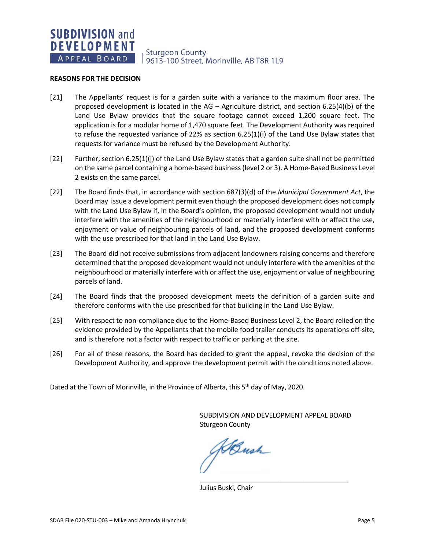**Sturgeon County** 9613-100 Street, Morinville, AB T8R 1L9

### **REASONS FOR THE DECISION**

- [21] The Appellants' request is for a garden suite with a variance to the maximum floor area. The proposed development is located in the AG – Agriculture district, and section 6.25(4)(b) of the Land Use Bylaw provides that the square footage cannot exceed 1,200 square feet. The application is for a modular home of 1,470 square feet. The Development Authority was required to refuse the requested variance of 22% as section 6.25(1)(i) of the Land Use Bylaw states that requests for variance must be refused by the Development Authority.
- [22] Further, section 6.25(1)(j) of the Land Use Bylaw states that a garden suite shall not be permitted on the same parcel containing a home-based business (level 2 or 3). A Home-Based Business Level 2 exists on the same parcel.
- [22] The Board finds that, in accordance with section 687(3)(d) of the *Municipal Government Act*, the Board may issue a development permit even though the proposed development does not comply with the Land Use Bylaw if, in the Board's opinion, the proposed development would not unduly interfere with the amenities of the neighbourhood or materially interfere with or affect the use, enjoyment or value of neighbouring parcels of land, and the proposed development conforms with the use prescribed for that land in the Land Use Bylaw.
- [23] The Board did not receive submissions from adjacent landowners raising concerns and therefore determined that the proposed development would not unduly interfere with the amenities of the neighbourhood or materially interfere with or affect the use, enjoyment or value of neighbouring parcels of land.
- [24] The Board finds that the proposed development meets the definition of a garden suite and therefore conforms with the use prescribed for that building in the Land Use Bylaw.
- [25] With respect to non-compliance due to the Home-Based Business Level 2, the Board relied on the evidence provided by the Appellants that the mobile food trailer conducts its operations off-site, and is therefore not a factor with respect to traffic or parking at the site.
- [26] For all of these reasons, the Board has decided to grant the appeal, revoke the decision of the Development Authority, and approve the development permit with the conditions noted above.

Dated at the Town of Morinville, in the Province of Alberta, this 5<sup>th</sup> day of May, 2020.

SUBDIVISION AND DEVELOPMENT APPEAL BOARD Sturgeon County

\_\_\_\_\_\_\_\_\_\_\_\_\_\_\_\_\_\_\_\_\_\_\_\_\_\_\_\_\_\_\_\_\_\_\_\_\_\_\_\_

ABush

Julius Buski, Chair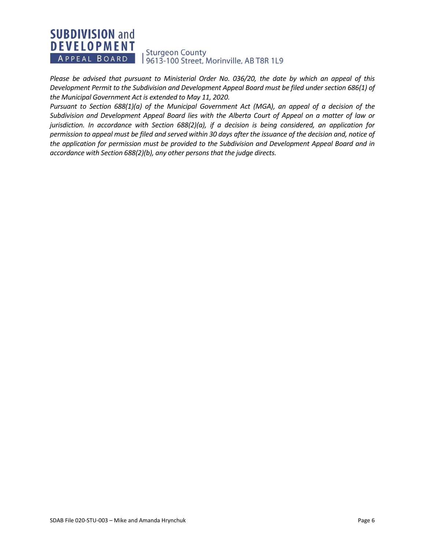*Please be advised that pursuant to Ministerial Order No. 036/20, the date by which an appeal of this Development Permit to the Subdivision and Development Appeal Board must be filed under section 686(1) of the Municipal Government Act is extended to May 11, 2020.*

*Pursuant to Section 688(1)(a) of the Municipal Government Act (MGA), an appeal of a decision of the Subdivision and Development Appeal Board lies with the Alberta Court of Appeal on a matter of law or jurisdiction. In accordance with Section 688(2)(a), if a decision is being considered, an application for permission to appeal must be filed and served within 30 days after the issuance of the decision and, notice of the application for permission must be provided to the Subdivision and Development Appeal Board and in accordance with Section 688(2)(b), any other persons that the judge directs.*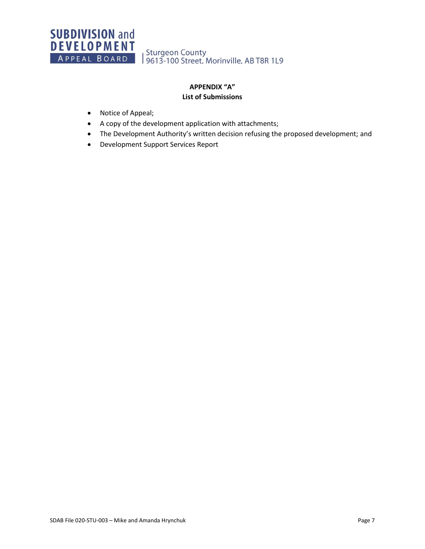Sturgeon County<br>| 9613-100 Street, Morinville, AB T8R 1L9

# **APPENDIX "A" List of Submissions**

- Notice of Appeal;
- A copy of the development application with attachments;
- The Development Authority's written decision refusing the proposed development; and
- Development Support Services Report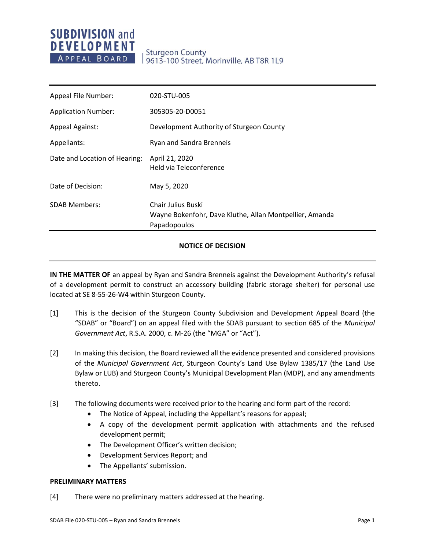# **Sturgeon County** 9613-100 Street, Morinville, AB T8R 1L9

| Appeal File Number:           | 020-STU-005                                                                                          |
|-------------------------------|------------------------------------------------------------------------------------------------------|
| <b>Application Number:</b>    | 305305-20-D0051                                                                                      |
| <b>Appeal Against:</b>        | Development Authority of Sturgeon County                                                             |
| Appellants:                   | Ryan and Sandra Brenneis                                                                             |
| Date and Location of Hearing: | April 21, 2020<br>Held via Teleconference                                                            |
| Date of Decision:             | May 5, 2020                                                                                          |
| <b>SDAB Members:</b>          | <b>Chair Julius Buski</b><br>Wayne Bokenfohr, Dave Kluthe, Allan Montpellier, Amanda<br>Papadopoulos |

# **NOTICE OF DECISION**

**IN THE MATTER OF** an appeal by Ryan and Sandra Brenneis against the Development Authority's refusal of a development permit to construct an accessory building (fabric storage shelter) for personal use located at SE 8-55-26-W4 within Sturgeon County.

- [1] This is the decision of the Sturgeon County Subdivision and Development Appeal Board (the "SDAB" or "Board") on an appeal filed with the SDAB pursuant to section 685 of the *Municipal Government Act*, R.S.A. 2000, c. M-26 (the "MGA" or "Act").
- [2] In making this decision, the Board reviewed all the evidence presented and considered provisions of the *Municipal Government Act*, Sturgeon County's Land Use Bylaw 1385/17 (the Land Use Bylaw or LUB) and Sturgeon County's Municipal Development Plan (MDP), and any amendments thereto.
- [3] The following documents were received prior to the hearing and form part of the record:
	- The Notice of Appeal, including the Appellant's reasons for appeal;
	- A copy of the development permit application with attachments and the refused development permit;
	- The Development Officer's written decision;
	- Development Services Report; and
	- The Appellants' submission.

# **PRELIMINARY MATTERS**

[4] There were no preliminary matters addressed at the hearing.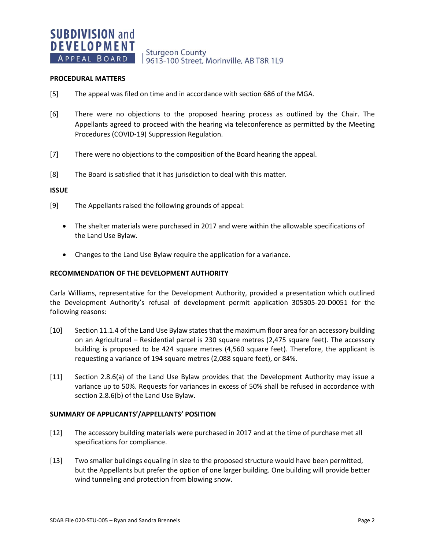# **Sturgeon County** 9613-100 Street, Morinville, AB T8R 1L9

### **PROCEDURAL MATTERS**

- [5] The appeal was filed on time and in accordance with section 686 of the MGA.
- [6] There were no objections to the proposed hearing process as outlined by the Chair. The Appellants agreed to proceed with the hearing via teleconference as permitted by the Meeting Procedures (COVID-19) Suppression Regulation.
- [7] There were no objections to the composition of the Board hearing the appeal.
- [8] The Board is satisfied that it has jurisdiction to deal with this matter.

### **ISSUE**

- [9] The Appellants raised the following grounds of appeal:
	- The shelter materials were purchased in 2017 and were within the allowable specifications of the Land Use Bylaw.
	- Changes to the Land Use Bylaw require the application for a variance.

### **RECOMMENDATION OF THE DEVELOPMENT AUTHORITY**

Carla Williams, representative for the Development Authority, provided a presentation which outlined the Development Authority's refusal of development permit application 305305-20-D0051 for the following reasons:

- [10] Section 11.1.4 of the Land Use Bylaw states that the maximum floor area for an accessory building on an Agricultural – Residential parcel is 230 square metres (2,475 square feet). The accessory building is proposed to be 424 square metres (4,560 square feet). Therefore, the applicant is requesting a variance of 194 square metres (2,088 square feet), or 84%.
- [11] Section 2.8.6(a) of the Land Use Bylaw provides that the Development Authority may issue a variance up to 50%. Requests for variances in excess of 50% shall be refused in accordance with section 2.8.6(b) of the Land Use Bylaw.

### **SUMMARY OF APPLICANTS'/APPELLANTS' POSITION**

- [12] The accessory building materials were purchased in 2017 and at the time of purchase met all specifications for compliance.
- [13] Two smaller buildings equaling in size to the proposed structure would have been permitted, but the Appellants but prefer the option of one larger building. One building will provide better wind tunneling and protection from blowing snow.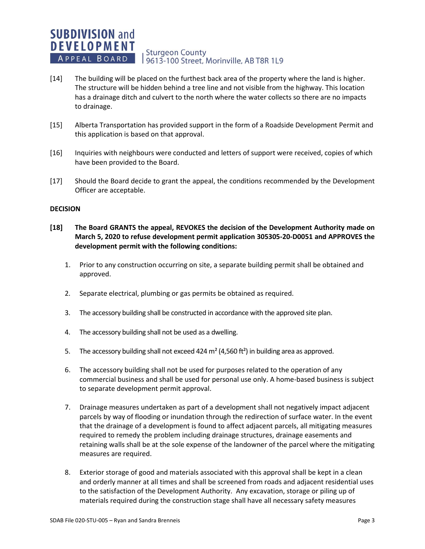- [14] The building will be placed on the furthest back area of the property where the land is higher. The structure will be hidden behind a tree line and not visible from the highway. This location has a drainage ditch and culvert to the north where the water collects so there are no impacts to drainage.
- [15] Alberta Transportation has provided support in the form of a Roadside Development Permit and this application is based on that approval.
- [16] Inquiries with neighbours were conducted and letters of support were received, copies of which have been provided to the Board.
- [17] Should the Board decide to grant the appeal, the conditions recommended by the Development Officer are acceptable.

### **DECISION**

- **[18] The Board GRANTS the appeal, REVOKES the decision of the Development Authority made on March 5, 2020 to refuse development permit application 305305-20-D0051 and APPROVES the development permit with the following conditions:**
	- 1. Prior to any construction occurring on site, a separate building permit shall be obtained and approved.
	- 2. Separate electrical, plumbing or gas permits be obtained as required.
	- 3. The accessory building shall be constructed in accordance with the approved site plan.
	- 4. The accessory building shall not be used as a dwelling.
	- 5. The accessory building shall not exceed 424  $m^2$  (4,560 ft<sup>2</sup>) in building area as approved.
	- 6. The accessory building shall not be used for purposes related to the operation of any commercial business and shall be used for personal use only. A home-based business is subject to separate development permit approval.
	- 7. Drainage measures undertaken as part of a development shall not negatively impact adjacent parcels by way of flooding or inundation through the redirection of surface water. In the event that the drainage of a development is found to affect adjacent parcels, all mitigating measures required to remedy the problem including drainage structures, drainage easements and retaining walls shall be at the sole expense of the landowner of the parcel where the mitigating measures are required.
	- 8. Exterior storage of good and materials associated with this approval shall be kept in a clean and orderly manner at all times and shall be screened from roads and adjacent residential uses to the satisfaction of the Development Authority. Any excavation, storage or piling up of materials required during the construction stage shall have all necessary safety measures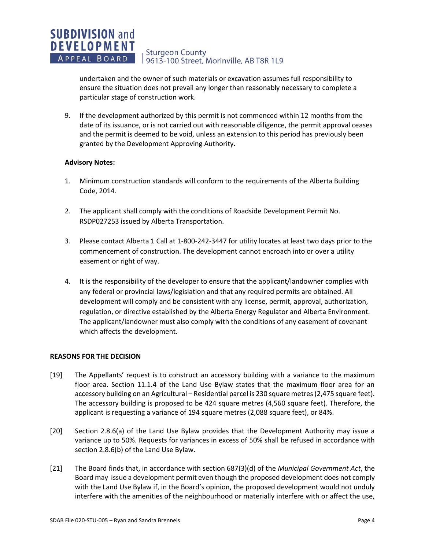undertaken and the owner of such materials or excavation assumes full responsibility to ensure the situation does not prevail any longer than reasonably necessary to complete a particular stage of construction work.

9. If the development authorized by this permit is not commenced within 12 months from the date of its issuance, or is not carried out with reasonable diligence, the permit approval ceases and the permit is deemed to be void, unless an extension to this period has previously been granted by the Development Approving Authority.

# **Advisory Notes:**

- 1. Minimum construction standards will conform to the requirements of the Alberta Building Code, 2014.
- 2. The applicant shall comply with the conditions of Roadside Development Permit No. RSDP027253 issued by Alberta Transportation.
- 3. Please contact Alberta 1 Call at 1-800-242-3447 for utility locates at least two days prior to the commencement of construction. The development cannot encroach into or over a utility easement or right of way.
- 4. It is the responsibility of the developer to ensure that the applicant/landowner complies with any federal or provincial laws/legislation and that any required permits are obtained. All development will comply and be consistent with any license, permit, approval, authorization, regulation, or directive established by the Alberta Energy Regulator and Alberta Environment. The applicant/landowner must also comply with the conditions of any easement of covenant which affects the development.

# **REASONS FOR THE DECISION**

- [19] The Appellants' request is to construct an accessory building with a variance to the maximum floor area. Section 11.1.4 of the Land Use Bylaw states that the maximum floor area for an accessory building on an Agricultural – Residential parcel is 230 square metres (2,475 square feet). The accessory building is proposed to be 424 square metres (4,560 square feet). Therefore, the applicant is requesting a variance of 194 square metres (2,088 square feet), or 84%.
- [20] Section 2.8.6(a) of the Land Use Bylaw provides that the Development Authority may issue a variance up to 50%. Requests for variances in excess of 50% shall be refused in accordance with section 2.8.6(b) of the Land Use Bylaw.
- [21] The Board finds that, in accordance with section 687(3)(d) of the *Municipal Government Act*, the Board may issue a development permit even though the proposed development does not comply with the Land Use Bylaw if, in the Board's opinion, the proposed development would not unduly interfere with the amenities of the neighbourhood or materially interfere with or affect the use,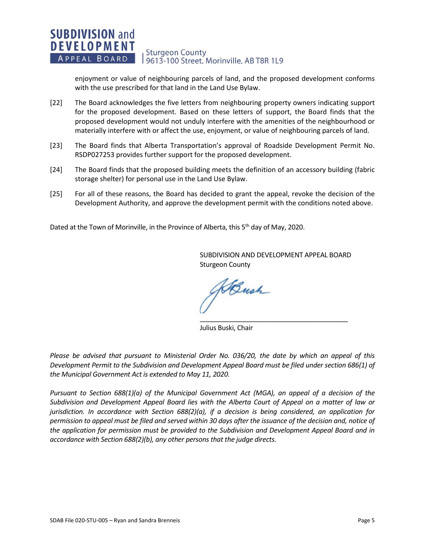enjoyment or value of neighbouring parcels of land, and the proposed development conforms with the use prescribed for that land in the Land Use Bylaw.

- [22] The Board acknowledges the five letters from neighbouring property owners indicating support for the proposed development. Based on these letters of support, the Board finds that the proposed development would not unduly interfere with the amenities of the neighbourhood or materially interfere with or affect the use, enjoyment, or value of neighbouring parcels of land.
- [23] The Board finds that Alberta Transportation's approval of Roadside Development Permit No. RSDP027253 provides further support for the proposed development.
- [24] The Board finds that the proposed building meets the definition of an accessory building (fabric storage shelter) for personal use in the Land Use Bylaw.
- [25] For all of these reasons, the Board has decided to grant the appeal, revoke the decision of the Development Authority, and approve the development permit with the conditions noted above.

Dated at the Town of Morinville, in the Province of Alberta, this 5<sup>th</sup> day of May, 2020.

SUBDIVISION AND DEVELOPMENT APPEAL BOARD Sturgeon County

\_\_\_\_\_\_\_\_\_\_\_\_\_\_\_\_\_\_\_\_\_\_\_\_\_\_\_\_\_\_\_\_\_\_\_\_\_\_\_\_

Bush

Julius Buski, Chair

*Please be advised that pursuant to Ministerial Order No. 036/20, the date by which an appeal of this Development Permit to the Subdivision and Development Appeal Board must be filed under section 686(1) of the Municipal Government Act is extended to May 11, 2020.*

*Pursuant to Section 688(1)(a) of the Municipal Government Act (MGA), an appeal of a decision of the Subdivision and Development Appeal Board lies with the Alberta Court of Appeal on a matter of law or jurisdiction. In accordance with Section 688(2)(a), if a decision is being considered, an application for permission to appeal must be filed and served within 30 days after the issuance of the decision and, notice of the application for permission must be provided to the Subdivision and Development Appeal Board and in accordance with Section 688(2)(b), any other persons that the judge directs.*